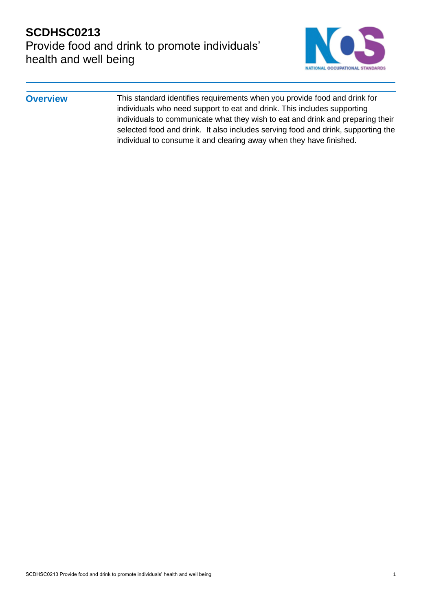# **SCDHSC0213** Provide food and drink to promote individuals' health and well being



**Overview** This standard identifies requirements when you provide food and drink for individuals who need support to eat and drink. This includes supporting individuals to communicate what they wish to eat and drink and preparing their selected food and drink. It also includes serving food and drink, supporting the individual to consume it and clearing away when they have finished.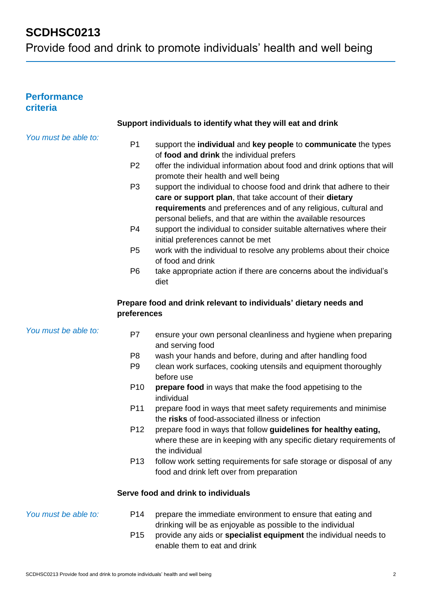## **Performance criteria**

|                      |                 | Support individuals to identify what they will eat and drink                                                                                                                                                                                                         |
|----------------------|-----------------|----------------------------------------------------------------------------------------------------------------------------------------------------------------------------------------------------------------------------------------------------------------------|
| You must be able to: |                 |                                                                                                                                                                                                                                                                      |
|                      | P <sub>1</sub>  | support the individual and key people to communicate the types<br>of food and drink the individual prefers                                                                                                                                                           |
|                      | P <sub>2</sub>  | offer the individual information about food and drink options that will<br>promote their health and well being                                                                                                                                                       |
|                      | P <sub>3</sub>  | support the individual to choose food and drink that adhere to their<br>care or support plan, that take account of their dietary<br>requirements and preferences and of any religious, cultural and<br>personal beliefs, and that are within the available resources |
|                      | P <sub>4</sub>  | support the individual to consider suitable alternatives where their<br>initial preferences cannot be met                                                                                                                                                            |
|                      | P <sub>5</sub>  | work with the individual to resolve any problems about their choice<br>of food and drink                                                                                                                                                                             |
|                      | P <sub>6</sub>  | take appropriate action if there are concerns about the individual's<br>diet                                                                                                                                                                                         |
|                      | preferences     | Prepare food and drink relevant to individuals' dietary needs and                                                                                                                                                                                                    |
| You must be able to: | P7              | ensure your own personal cleanliness and hygiene when preparing<br>and serving food                                                                                                                                                                                  |
|                      | P <sub>8</sub>  | wash your hands and before, during and after handling food                                                                                                                                                                                                           |
|                      | P <sub>9</sub>  | clean work surfaces, cooking utensils and equipment thoroughly<br>before use                                                                                                                                                                                         |
|                      | P <sub>10</sub> | prepare food in ways that make the food appetising to the<br>individual                                                                                                                                                                                              |
|                      | P11             | prepare food in ways that meet safety requirements and minimise<br>the risks of food-associated illness or infection                                                                                                                                                 |
|                      | P <sub>12</sub> | prepare food in ways that follow guidelines for healthy eating,<br>where these are in keeping with any specific dietary requirements of<br>the individual                                                                                                            |
|                      | P <sub>13</sub> | follow work setting requirements for safe storage or disposal of any<br>food and drink left over from preparation                                                                                                                                                    |
|                      |                 | Serve food and drink to individuals                                                                                                                                                                                                                                  |
| You must be able to: | P <sub>14</sub> | prepare the immediate environment to ensure that eating and<br>drinking will be as enjoyable as possible to the individual                                                                                                                                           |
|                      | P <sub>15</sub> | provide any aids or specialist equipment the individual needs to<br>enable them to eat and drink                                                                                                                                                                     |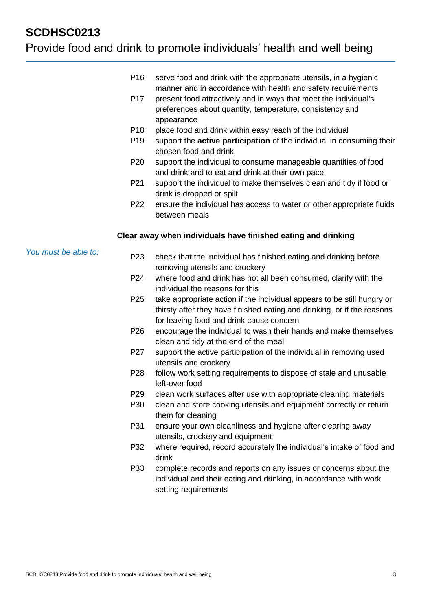## Provide food and drink to promote individuals' health and well being

- P16 serve food and drink with the appropriate utensils, in a hygienic manner and in accordance with health and safety requirements
- P17 present food attractively and in ways that meet the individual's preferences about quantity, temperature, consistency and appearance
- P18 place food and drink within easy reach of the individual
- P19 support the **active participation** of the individual in consuming their chosen food and drink
- P20 support the individual to consume manageable quantities of food and drink and to eat and drink at their own pace
- P21 support the individual to make themselves clean and tidy if food or drink is dropped or spilt
- P22 ensure the individual has access to water or other appropriate fluids between meals

#### **Clear away when individuals have finished eating and drinking**

*You must be able to:*

- P23 check that the individual has finished eating and drinking before removing utensils and crockery
- P24 where food and drink has not all been consumed, clarify with the individual the reasons for this
- P25 take appropriate action if the individual appears to be still hungry or thirsty after they have finished eating and drinking, or if the reasons for leaving food and drink cause concern
- P26 encourage the individual to wash their hands and make themselves clean and tidy at the end of the meal
- P27 support the active participation of the individual in removing used utensils and crockery
- P28 follow work setting requirements to dispose of stale and unusable left-over food
- P29 clean work surfaces after use with appropriate cleaning materials
- P30 clean and store cooking utensils and equipment correctly or return them for cleaning
- P31 ensure your own cleanliness and hygiene after clearing away utensils, crockery and equipment
- P32 where required, record accurately the individual's intake of food and drink
- P33 complete records and reports on any issues or concerns about the individual and their eating and drinking, in accordance with work setting requirements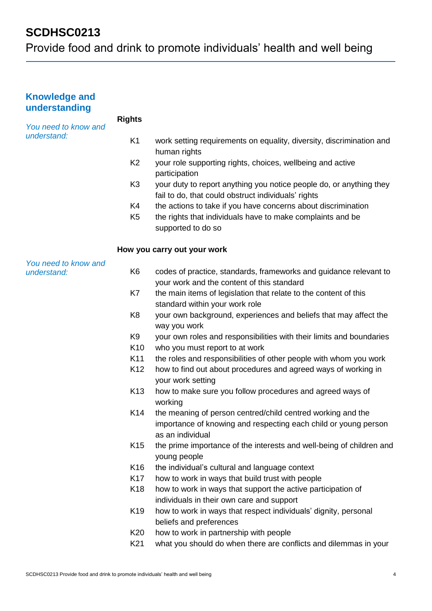Provide food and drink to promote individuals' health and well being

| <b>Knowledge and</b><br>understanding |                 |                                                                                                                                                    |
|---------------------------------------|-----------------|----------------------------------------------------------------------------------------------------------------------------------------------------|
| You need to know and<br>understand:   | <b>Rights</b>   |                                                                                                                                                    |
|                                       | K <sub>1</sub>  | work setting requirements on equality, diversity, discrimination and<br>human rights                                                               |
|                                       | K <sub>2</sub>  | your role supporting rights, choices, wellbeing and active<br>participation                                                                        |
|                                       | K <sub>3</sub>  | your duty to report anything you notice people do, or anything they<br>fail to do, that could obstruct individuals' rights                         |
|                                       | K4              | the actions to take if you have concerns about discrimination                                                                                      |
|                                       | K <sub>5</sub>  | the rights that individuals have to make complaints and be<br>supported to do so                                                                   |
|                                       |                 | How you carry out your work                                                                                                                        |
| You need to know and<br>understand:   | K <sub>6</sub>  | codes of practice, standards, frameworks and guidance relevant to<br>your work and the content of this standard                                    |
|                                       | K7              | the main items of legislation that relate to the content of this<br>standard within your work role                                                 |
|                                       | K <sub>8</sub>  | your own background, experiences and beliefs that may affect the<br>way you work                                                                   |
|                                       | K9              | your own roles and responsibilities with their limits and boundaries                                                                               |
|                                       | K <sub>10</sub> | who you must report to at work                                                                                                                     |
|                                       | K11             | the roles and responsibilities of other people with whom you work                                                                                  |
|                                       | K12             | how to find out about procedures and agreed ways of working in<br>your work setting                                                                |
|                                       | K <sub>13</sub> | how to make sure you follow procedures and agreed ways of<br>working                                                                               |
|                                       | K14             | the meaning of person centred/child centred working and the<br>importance of knowing and respecting each child or young person<br>as an individual |
|                                       | K <sub>15</sub> | the prime importance of the interests and well-being of children and<br>young people                                                               |
|                                       | K <sub>16</sub> | the individual's cultural and language context                                                                                                     |
|                                       | K <sub>17</sub> | how to work in ways that build trust with people                                                                                                   |
|                                       | K18             | how to work in ways that support the active participation of                                                                                       |
|                                       |                 | individuals in their own care and support                                                                                                          |
|                                       | K <sub>19</sub> | how to work in ways that respect individuals' dignity, personal<br>beliefs and preferences                                                         |
|                                       | K <sub>20</sub> | how to work in partnership with people                                                                                                             |
|                                       | K21             | what you should do when there are conflicts and dilemmas in your                                                                                   |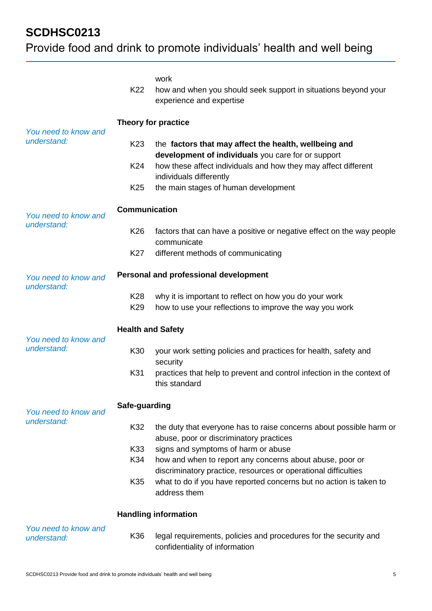# Provide food and drink to promote individuals' health and well being

|                                     | K22                                          | work<br>how and when you should seek support in situations beyond your<br>experience and expertise                                                                                                       |  |
|-------------------------------------|----------------------------------------------|----------------------------------------------------------------------------------------------------------------------------------------------------------------------------------------------------------|--|
| You need to know and<br>understand: | Theory for practice                          |                                                                                                                                                                                                          |  |
|                                     | K <sub>23</sub><br>K24                       | the factors that may affect the health, wellbeing and<br>development of individuals you care for or support<br>how these affect individuals and how they may affect different<br>individuals differently |  |
|                                     | K <sub>25</sub>                              | the main stages of human development                                                                                                                                                                     |  |
| You need to know and<br>understand: | <b>Communication</b>                         |                                                                                                                                                                                                          |  |
|                                     | K <sub>26</sub>                              | factors that can have a positive or negative effect on the way people<br>communicate                                                                                                                     |  |
|                                     | K27                                          | different methods of communicating                                                                                                                                                                       |  |
| You need to know and<br>understand: | <b>Personal and professional development</b> |                                                                                                                                                                                                          |  |
|                                     | K <sub>28</sub><br>K <sub>29</sub>           | why it is important to reflect on how you do your work<br>how to use your reflections to improve the way you work                                                                                        |  |
| You need to know and<br>understand: | <b>Health and Safety</b>                     |                                                                                                                                                                                                          |  |
|                                     | K30                                          | your work setting policies and practices for health, safety and<br>security                                                                                                                              |  |
|                                     | K31                                          | practices that help to prevent and control infection in the context of<br>this standard                                                                                                                  |  |
| You need to know and<br>understand: | Safe-guarding                                |                                                                                                                                                                                                          |  |
|                                     | K32                                          | the duty that everyone has to raise concerns about possible harm or<br>abuse, poor or discriminatory practices                                                                                           |  |
|                                     | K33                                          | signs and symptoms of harm or abuse                                                                                                                                                                      |  |
|                                     | K34                                          | how and when to report any concerns about abuse, poor or<br>discriminatory practice, resources or operational difficulties                                                                               |  |
|                                     | K35                                          | what to do if you have reported concerns but no action is taken to<br>address them                                                                                                                       |  |
|                                     |                                              | <b>Handling information</b>                                                                                                                                                                              |  |
| You need to know and<br>understand: | K36                                          | legal requirements, policies and procedures for the security and<br>confidentiality of information                                                                                                       |  |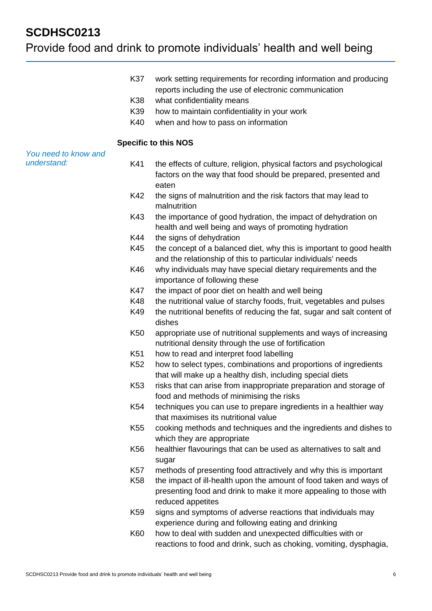## Provide food and drink to promote individuals' health and well being

- K37 work setting requirements for recording information and producing reports including the use of electronic communication
- K38 what confidentiality means
- K39 how to maintain confidentiality in your work
- K40 when and how to pass on information

#### **Specific to this NOS**

#### *You need to know and understand:*

- K41 the effects of culture, religion, physical factors and psychological factors on the way that food should be prepared, presented and eaten
	- K42 the signs of malnutrition and the risk factors that may lead to malnutrition
	- K43 the importance of good hydration, the impact of dehydration on health and well being and ways of promoting hydration
	- K44 the signs of dehydration
	- K45 the concept of a balanced diet, why this is important to good health and the relationship of this to particular individuals' needs
	- K46 why individuals may have special dietary requirements and the importance of following these
	- K47 the impact of poor diet on health and well being
	- K48 the nutritional value of starchy foods, fruit, vegetables and pulses
	- K49 the nutritional benefits of reducing the fat, sugar and salt content of dishes
	- K50 appropriate use of nutritional supplements and ways of increasing nutritional density through the use of fortification
	- K51 how to read and interpret food labelling
	- K52 how to select types, combinations and proportions of ingredients that will make up a healthy dish, including special diets
	- K53 risks that can arise from inappropriate preparation and storage of food and methods of minimising the risks
	- K54 techniques you can use to prepare ingredients in a healthier way that maximises its nutritional value
	- K55 cooking methods and techniques and the ingredients and dishes to which they are appropriate
	- K56 healthier flavourings that can be used as alternatives to salt and sugar
	- K57 methods of presenting food attractively and why this is important
	- K58 the impact of ill-health upon the amount of food taken and ways of presenting food and drink to make it more appealing to those with reduced appetites
	- K59 signs and symptoms of adverse reactions that individuals may experience during and following eating and drinking
	- K60 how to deal with sudden and unexpected difficulties with or reactions to food and drink, such as choking, vomiting, dysphagia,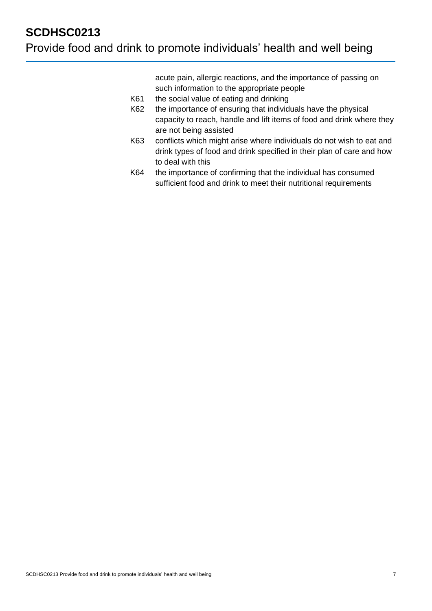acute pain, allergic reactions, and the importance of passing on such information to the appropriate people

- K61 the social value of eating and drinking
- K62 the importance of ensuring that individuals have the physical capacity to reach, handle and lift items of food and drink where they are not being assisted
- K63 conflicts which might arise where individuals do not wish to eat and drink types of food and drink specified in their plan of care and how to deal with this
- K64 the importance of confirming that the individual has consumed sufficient food and drink to meet their nutritional requirements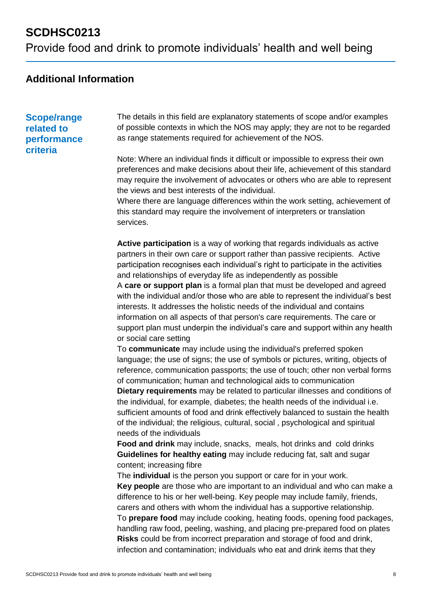## **Additional Information**

### **Scope/range related to performance criteria**

The details in this field are explanatory statements of scope and/or examples of possible contexts in which the NOS may apply; they are not to be regarded as range statements required for achievement of the NOS.

Note: Where an individual finds it difficult or impossible to express their own preferences and make decisions about their life, achievement of this standard may require the involvement of advocates or others who are able to represent the views and best interests of the individual.

Where there are language differences within the work setting, achievement of this standard may require the involvement of interpreters or translation services.

**Active participation** is a way of working that regards individuals as active partners in their own care or support rather than passive recipients. Active participation recognises each individual's right to participate in the activities and relationships of everyday life as independently as possible A **care or support plan** is a formal plan that must be developed and agreed with the individual and/or those who are able to represent the individual's best interests. It addresses the holistic needs of the individual and contains information on all aspects of that person's care requirements. The care or support plan must underpin the individual's care and support within any health or social care setting

To **communicate** may include using the individual's preferred spoken language; the use of signs; the use of symbols or pictures, writing, objects of reference, communication passports; the use of touch; other non verbal forms of communication; human and technological aids to communication

**Dietary requirements** may be related to particular illnesses and conditions of the individual, for example, diabetes; the health needs of the individual i.e. sufficient amounts of food and drink effectively balanced to sustain the health of the individual; the religious, cultural, social , psychological and spiritual needs of the individuals

**Food and drink** may include, snacks, meals, hot drinks and cold drinks **Guidelines for healthy eating** may include reducing fat, salt and sugar content; increasing fibre

The **individual** is the person you support or care for in your work. **Key people** are those who are important to an individual and who can make a difference to his or her well-being. Key people may include family, friends, carers and others with whom the individual has a supportive relationship. To **prepare food** may include cooking, heating foods, opening food packages, handling raw food, peeling, washing, and placing pre-prepared food on plates **Risks** could be from incorrect preparation and storage of food and drink, infection and contamination; individuals who eat and drink items that they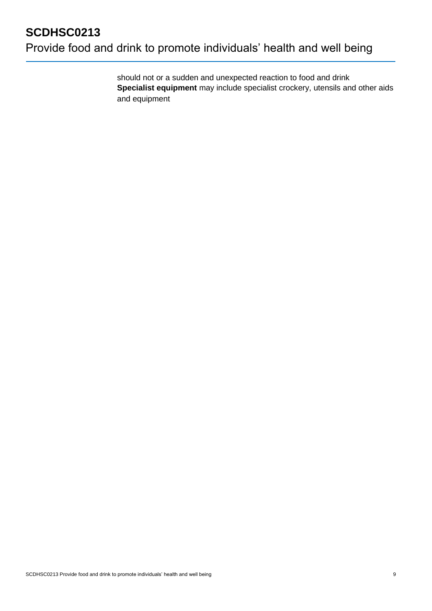should not or a sudden and unexpected reaction to food and drink **Specialist equipment** may include specialist crockery, utensils and other aids and equipment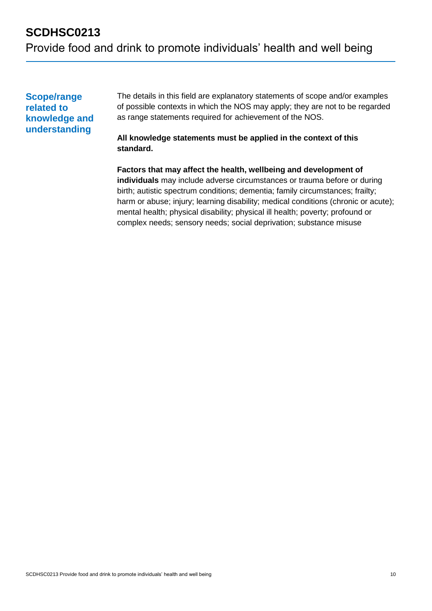## **Scope/range related to knowledge and understanding**

The details in this field are explanatory statements of scope and/or examples of possible contexts in which the NOS may apply; they are not to be regarded as range statements required for achievement of the NOS.

### **All knowledge statements must be applied in the context of this standard.**

**Factors that may affect the health, wellbeing and development of individuals** may include adverse circumstances or trauma before or during birth; autistic spectrum conditions; dementia; family circumstances; frailty; harm or abuse; injury; learning disability; medical conditions (chronic or acute); mental health; physical disability; physical ill health; poverty; profound or complex needs; sensory needs; social deprivation; substance misuse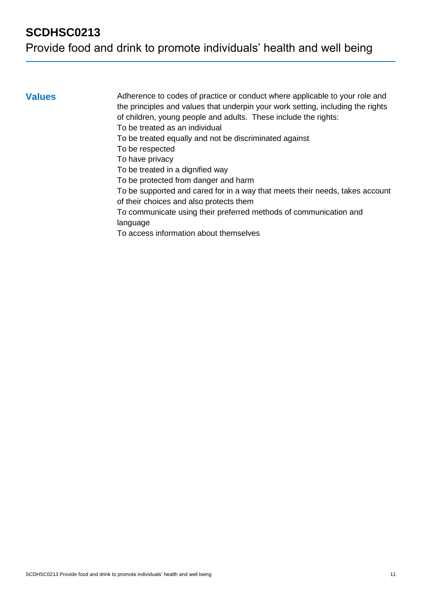**Values** Adherence to codes of practice or conduct where applicable to your role and the principles and values that underpin your work setting, including the rights of children, young people and adults. These include the rights: To be treated as an individual

To be treated equally and not be discriminated against

To be respected

To have privacy

To be treated in a dignified way

To be protected from danger and harm

To be supported and cared for in a way that meets their needs, takes account of their choices and also protects them

To communicate using their preferred methods of communication and language

To access information about themselves